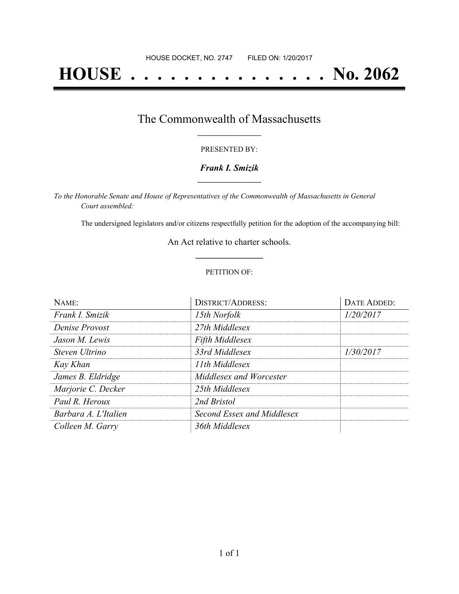# **HOUSE . . . . . . . . . . . . . . . No. 2062**

## The Commonwealth of Massachusetts **\_\_\_\_\_\_\_\_\_\_\_\_\_\_\_\_\_**

#### PRESENTED BY:

#### *Frank I. Smizik* **\_\_\_\_\_\_\_\_\_\_\_\_\_\_\_\_\_**

*To the Honorable Senate and House of Representatives of the Commonwealth of Massachusetts in General Court assembled:*

The undersigned legislators and/or citizens respectfully petition for the adoption of the accompanying bill:

An Act relative to charter schools. **\_\_\_\_\_\_\_\_\_\_\_\_\_\_\_**

#### PETITION OF:

| NAME:                | <b>DISTRICT/ADDRESS:</b>   | <b>DATE ADDED:</b> |
|----------------------|----------------------------|--------------------|
| Frank I. Smizik      | 15th Norfolk               | 1/20/2017          |
| Denise Provost       | 27th Middlesex             |                    |
| Jason M. Lewis       | <b>Fifth Middlesex</b>     |                    |
| Steven Ultrino       | 33rd Middlesex             | 1/30/2017          |
| Kay Khan             | 11th Middlesex             |                    |
| James B. Eldridge    | Middlesex and Worcester    |                    |
| Marjorie C. Decker   | 25th Middlesex             |                    |
| Paul R. Heroux       | 2nd Bristol                |                    |
| Barbara A. L'Italien | Second Essex and Middlesex |                    |
| Colleen M. Garry     | 36th Middlesex             |                    |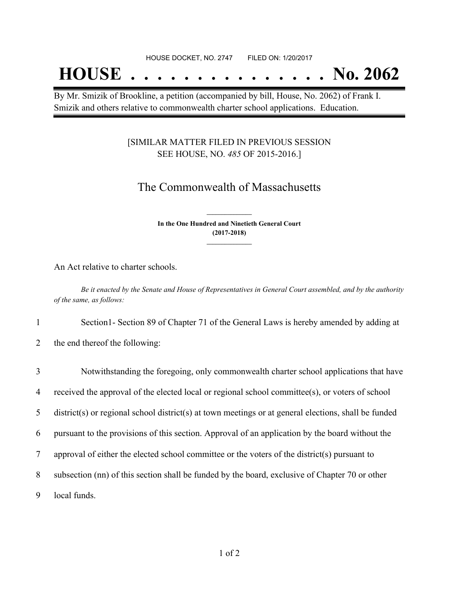## **HOUSE . . . . . . . . . . . . . . . No. 2062**

By Mr. Smizik of Brookline, a petition (accompanied by bill, House, No. 2062) of Frank I. Smizik and others relative to commonwealth charter school applications. Education.

### [SIMILAR MATTER FILED IN PREVIOUS SESSION SEE HOUSE, NO. *485* OF 2015-2016.]

## The Commonwealth of Massachusetts

**In the One Hundred and Ninetieth General Court (2017-2018) \_\_\_\_\_\_\_\_\_\_\_\_\_\_\_**

**\_\_\_\_\_\_\_\_\_\_\_\_\_\_\_**

An Act relative to charter schools.

Be it enacted by the Senate and House of Representatives in General Court assembled, and by the authority *of the same, as follows:*

1 Section1- Section 89 of Chapter 71 of the General Laws is hereby amended by adding at

2 the end thereof the following:

| 3              | Notwithstanding the foregoing, only commonwealth charter school applications that have               |
|----------------|------------------------------------------------------------------------------------------------------|
| $\overline{4}$ | received the approval of the elected local or regional school committee(s), or voters of school      |
| 5              | district(s) or regional school district(s) at town meetings or at general elections, shall be funded |
| 6              | pursuant to the provisions of this section. Approval of an application by the board without the      |
| 7              | approval of either the elected school committee or the voters of the district(s) pursuant to         |
| 8              | subsection (nn) of this section shall be funded by the board, exclusive of Chapter 70 or other       |
| 9              | local funds.                                                                                         |